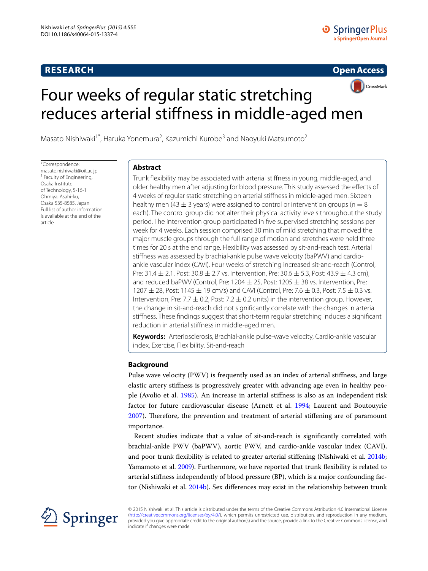## **RESEARCH**

**Open Access**

# CrossMark Four weeks of regular static stretching reduces arterial stiffness in middle‑aged men

Masato Nishiwaki<sup>1\*</sup>, Haruka Yonemura<sup>2</sup>, Kazumichi Kurobe<sup>3</sup> and Naoyuki Matsumoto<sup>2</sup>

\*Correspondence: masato.nishiwaki@oit.ac.jp <sup>1</sup> Faculty of Engineering, Osaka Institute of Technology, 5-16-1 Ohmiya, Asahi-ku, Osaka 535-8585, Japan Full list of author information is available at the end of the article

## **Abstract**

Trunk flexibility may be associated with arterial stiffness in young, middle-aged, and older healthy men after adjusting for blood pressure. This study assessed the effects of 4 weeks of regular static stretching on arterial stiffness in middle-aged men. Sixteen healthy men (43  $\pm$  3 years) were assigned to control or intervention groups (n = 8 each). The control group did not alter their physical activity levels throughout the study period. The intervention group participated in five supervised stretching sessions per week for 4 weeks. Each session comprised 30 min of mild stretching that moved the major muscle groups through the full range of motion and stretches were held three times for 20 s at the end range. Flexibility was assessed by sit-and-reach test. Arterial stiffness was assessed by brachial-ankle pulse wave velocity (baPWV) and cardioankle vascular index (CAVI). Four weeks of stretching increased sit-and-reach (Control, Pre:  $31.4 \pm 2.1$ , Post:  $30.8 \pm 2.7$  vs. Intervention, Pre:  $30.6 \pm 5.3$ , Post:  $43.9 \pm 4.3$  cm), and reduced baPWV (Control, Pre: 1204  $\pm$  25, Post: 1205  $\pm$  38 vs. Intervention, Pre: 1207  $\pm$  28, Post: 1145  $\pm$  19 cm/s) and CAVI (Control, Pre: 7.6  $\pm$  0.3, Post: 7.5  $\pm$  0.3 vs. Intervention, Pre: 7.7  $\pm$  0.2, Post: 7.2  $\pm$  0.2 units) in the intervention group. However, the change in sit-and-reach did not significantly correlate with the changes in arterial stiffness. These findings suggest that short-term regular stretching induces a significant reduction in arterial stiffness in middle-aged men.

**Keywords:** Arteriosclerosis, Brachial-ankle pulse-wave velocity, Cardio-ankle vascular index, Exercise, Flexibility, Sit-and-reach

## **Background**

Pulse wave velocity (PWV) is frequently used as an index of arterial stiffness, and large elastic artery stiffness is progressively greater with advancing age even in healthy people (Avolio et al. [1985\)](#page-9-0). An increase in arterial stiffness is also as an independent risk factor for future cardiovascular disease (Arnett et al. [1994](#page-9-1); Laurent and Boutouyrie [2007](#page-9-2)). Therefore, the prevention and treatment of arterial stiffening are of paramount importance.

Recent studies indicate that a value of sit-and-reach is significantly correlated with brachial-ankle PWV (baPWV), aortic PWV, and cardio-ankle vascular index (CAVI), and poor trunk flexibility is related to greater arterial stiffening (Nishiwaki et al. [2014b](#page-9-3); Yamamoto et al. [2009](#page-10-0)). Furthermore, we have reported that trunk flexibility is related to arterial stiffness independently of blood pressure (BP), which is a major confounding factor (Nishiwaki et al. [2014b](#page-9-3)). Sex differences may exist in the relationship between trunk



© 2015 Nishiwaki et al. This article is distributed under the terms of the Creative Commons Attribution 4.0 International License [\(http://creativecommons.org/licenses/by/4.0/](http://creativecommons.org/licenses/by/4.0/)), which permits unrestricted use, distribution, and reproduction in any medium, provided you give appropriate credit to the original author(s) and the source, provide a link to the Creative Commons license, and indicate if changes were made.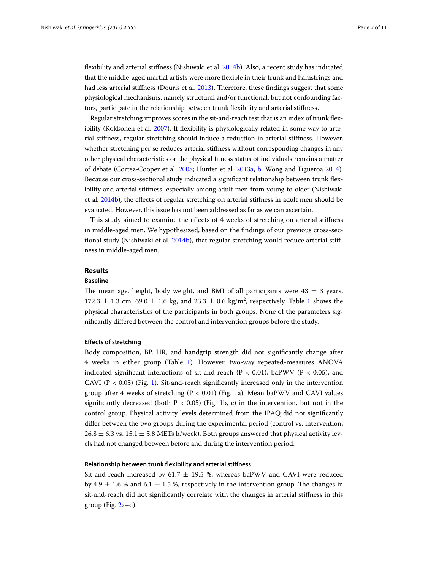flexibility and arterial stiffness (Nishiwaki et al. [2014b](#page-9-3)). Also, a recent study has indicated that the middle-aged martial artists were more flexible in their trunk and hamstrings and had less arterial stiffness (Douris et al. [2013](#page-9-4)). Therefore, these findings suggest that some physiological mechanisms, namely structural and/or functional, but not confounding factors, participate in the relationship between trunk flexibility and arterial stiffness.

Regular stretching improves scores in the sit-and-reach test that is an index of trunk flexibility (Kokkonen et al. [2007](#page-9-5)). If flexibility is physiologically related in some way to arterial stiffness, regular stretching should induce a reduction in arterial stiffness. However, whether stretching per se reduces arterial stiffness without corresponding changes in any other physical characteristics or the physical fitness status of individuals remains a matter of debate (Cortez-Cooper et al. [2008](#page-9-6); Hunter et al. [2013a](#page-9-7), [b;](#page-9-8) Wong and Figueroa [2014](#page-10-1)). Because our cross-sectional study indicated a significant relationship between trunk flexibility and arterial stiffness, especially among adult men from young to older (Nishiwaki et al. [2014b](#page-9-3)), the effects of regular stretching on arterial stiffness in adult men should be evaluated. However, this issue has not been addressed as far as we can ascertain.

This study aimed to examine the effects of 4 weeks of stretching on arterial stiffness in middle-aged men. We hypothesized, based on the findings of our previous cross-sectional study (Nishiwaki et al. [2014b\)](#page-9-3), that regular stretching would reduce arterial stiffness in middle-aged men.

## **Results**

## **Baseline**

The mean age, height, body weight, and BMI of all participants were  $43 \pm 3$  years,  $172.3 \pm 1.3$  $172.3 \pm 1.3$  cm,  $69.0 \pm 1.6$  kg, and  $23.3 \pm 0.6$  kg/m<sup>2</sup>, respectively. Table 1 shows the physical characteristics of the participants in both groups. None of the parameters significantly differed between the control and intervention groups before the study.

#### **Effects of stretching**

Body composition, BP, HR, and handgrip strength did not significantly change after 4 weeks in either group (Table [1](#page-2-0)). However, two-way repeated-measures ANOVA indicated significant interactions of sit-and-reach (P < 0.01), baPWV (P < 0.05), and CAVI ( $P < 0.05$ ) (Fig. [1](#page-3-0)). Sit-and-reach significantly increased only in the intervention group after 4 weeks of stretching  $(P < 0.01)$  (Fig. [1a](#page-3-0)). Mean baPWV and CAVI values significantly decreased (both  $P < 0.05$ ) (Fig. [1](#page-3-0)b, c) in the intervention, but not in the control group. Physical activity levels determined from the IPAQ did not significantly differ between the two groups during the experimental period (control vs. intervention,  $26.8 \pm 6.3$  vs.  $15.1 \pm 5.8$  METs h/week). Both groups answered that physical activity levels had not changed between before and during the intervention period.

#### **Relationship between trunk flexibility and arterial stiffness**

Sit-and-reach increased by 61.7  $\pm$  19.5 %, whereas baPWV and CAVI were reduced by 4.9  $\pm$  1.6 % and 6.1  $\pm$  1.5 %, respectively in the intervention group. The changes in sit-and-reach did not significantly correlate with the changes in arterial stiffness in this group (Fig. [2](#page-4-0)a–d).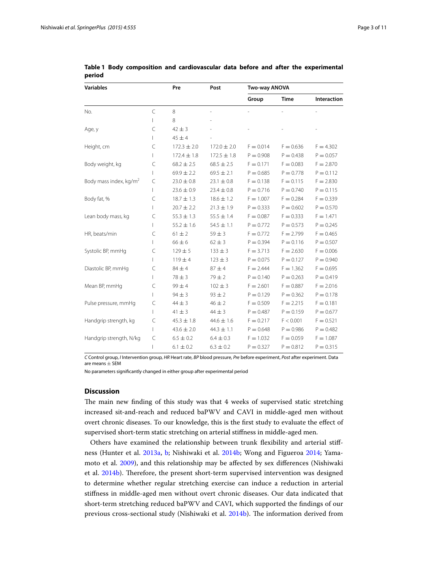| <b>Variables</b>                   |              | Pre             | Post            | Two-way ANOVA |             |             |
|------------------------------------|--------------|-----------------|-----------------|---------------|-------------|-------------|
|                                    |              |                 |                 | Group         | <b>Time</b> | Interaction |
| No.                                | $\mathsf{C}$ | 8               |                 |               |             |             |
|                                    | $\mathsf{I}$ | 8               |                 |               |             |             |
| Age, y                             | $\subset$    | $42 \pm 3$      |                 |               |             |             |
|                                    | L            | $45 \pm 4$      |                 |               |             |             |
| Height, cm                         | $\subset$    | $172.3 \pm 2.0$ | $172.0 \pm 2.0$ | $F = 0.014$   | $F = 0.636$ | $F = 4.302$ |
|                                    | $\mathbf{L}$ | $172.4 \pm 1.8$ | $172.5 \pm 1.8$ | $P = 0.908$   | $P = 0.438$ | $P = 0.057$ |
| Body weight, kg                    | $\subset$    | $68.2 \pm 2.5$  | $68.5 \pm 2.5$  | $F = 0.171$   | $F = 0.083$ | $F = 2.870$ |
|                                    | $\mathbf{I}$ | $69.9 \pm 2.2$  | $69.5 \pm 2.1$  | $P = 0.685$   | $P = 0.778$ | $P = 0.112$ |
| Body mass index, kg/m <sup>2</sup> | $\subset$    | $23.0 \pm 0.8$  | $23.1 \pm 0.8$  | $F = 0.138$   | $F = 0.115$ | $F = 2.830$ |
|                                    | $\mathbf{I}$ | $23.6 \pm 0.9$  | $23.4 \pm 0.8$  | $P = 0.716$   | $P = 0.740$ | $P = 0.115$ |
| Body fat, %                        | $\subset$    | $18.7 \pm 1.3$  | $18.6 \pm 1.2$  | $F = 1.007$   | $F = 0.284$ | $F = 0.339$ |
|                                    | L            | $20.7 \pm 2.2$  | $21.3 \pm 1.9$  | $P = 0.333$   | $P = 0.602$ | $P = 0.570$ |
| Lean body mass, kg                 | $\subset$    | $55.3 \pm 1.3$  | $55.5 \pm 1.4$  | $F = 0.087$   | $F = 0.333$ | $F = 1.471$ |
|                                    | $\mathbf{L}$ | $55.2 \pm 1.6$  | $54.5 \pm 1.1$  | $P = 0.772$   | $P = 0.573$ | $P = 0.245$ |
| HR, beats/min                      | $\subset$    | $61 \pm 2$      | $59 \pm 3$      | $F = 0.772$   | $F = 2.799$ | $F = 0.465$ |
|                                    | $\mathbf{L}$ | $66 \pm 6$      | $62 \pm 3$      | $P = 0.394$   | $P = 0.116$ | $P = 0.507$ |
| Systolic BP, mmHq                  | $\subset$    | $129 \pm 5$     | $133 \pm 3$     | $F = 3.713$   | $F = 2.630$ | $F = 0.006$ |
|                                    | $\mathbb{L}$ | $119 \pm 4$     | $123 \pm 3$     | $P = 0.075$   | $P = 0.127$ | $P = 0.940$ |
| Diastolic BP, mmHq                 | $\subset$    | $84 \pm 4$      | $87 + 4$        | $F = 2.444$   | $F = 1.362$ | $F = 0.695$ |
|                                    | $\mathbf{I}$ | $78 \pm 3$      | $79 + 2$        | $P = 0.140$   | $P = 0.263$ | $P = 0.419$ |
| Mean BP, mmHg                      | C            | $99 \pm 4$      | $102 \pm 3$     | $F = 2.601$   | $F = 0.887$ | $F = 2.016$ |
|                                    | $\mathbf{L}$ | $94 \pm 3$      | $93 \pm 2$      | $P = 0.129$   | $P = 0.362$ | $P = 0.178$ |
| Pulse pressure, mmHg               | $\subset$    | $44 \pm 3$      | $46 \pm 2$      | $F = 0.509$   | $F = 2.215$ | $F = 0.181$ |
|                                    | $\mathbf{I}$ | $41 \pm 3$      | $44 \pm 3$      | $P = 0.487$   | $P = 0.159$ | $P = 0.677$ |
| Handgrip strength, kg              | C            | $45.3 \pm 1.8$  | $44.6 \pm 1.6$  | $F = 0.217$   | F < 0.001   | $F = 0.521$ |
|                                    |              | $43.6 \pm 2.0$  | $44.3 \pm 1.1$  | $P = 0.648$   | $P = 0.986$ | $P = 0.482$ |
| Handgrip strength, N/kg            | $\subset$    | $6.5 \pm 0.2$   | $6.4 \pm 0.3$   | $F = 1.032$   | $F = 0.059$ | $F = 1.087$ |
|                                    | I            | $6.1 \pm 0.2$   | $6.3 \pm 0.2$   | $P = 0.327$   | $P = 0.812$ | $P = 0.315$ |

<span id="page-2-0"></span>**Table 1 Body composition and cardiovascular data before and after the experimental period**

*C* Control group, *I* Intervention group, *HR* Heart rate, *BP* blood pressure, *Pre* before experiment, *Post* after experiment. Data are means ± SEM

No parameters significantly changed in either group after experimental period

## **Discussion**

The main new finding of this study was that 4 weeks of supervised static stretching increased sit-and-reach and reduced baPWV and CAVI in middle-aged men without overt chronic diseases. To our knowledge, this is the first study to evaluate the effect of supervised short-term static stretching on arterial stiffness in middle-aged men.

Others have examined the relationship between trunk flexibility and arterial stiffness (Hunter et al. [2013a,](#page-9-7) [b;](#page-9-8) Nishiwaki et al. [2014b](#page-9-3); Wong and Figueroa [2014;](#page-10-1) Yamamoto et al. [2009\)](#page-10-0), and this relationship may be affected by sex differences (Nishiwaki et al. [2014b\)](#page-9-3). Therefore, the present short-term supervised intervention was designed to determine whether regular stretching exercise can induce a reduction in arterial stiffness in middle-aged men without overt chronic diseases. Our data indicated that short-term stretching reduced baPWV and CAVI, which supported the findings of our previous cross-sectional study (Nishiwaki et al. [2014b](#page-9-3)). The information derived from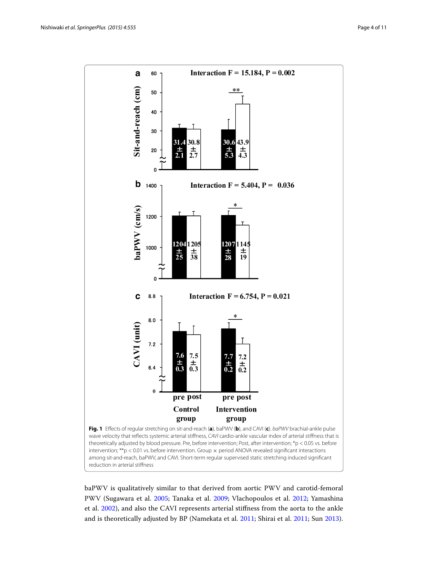

<span id="page-3-0"></span>baPWV is qualitatively similar to that derived from aortic PWV and carotid-femoral PWV (Sugawara et al. [2005](#page-10-2); Tanaka et al. [2009](#page-10-3); Vlachopoulos et al. [2012](#page-10-4); Yamashina et al. [2002\)](#page-10-5), and also the CAVI represents arterial stiffness from the aorta to the ankle and is theoretically adjusted by BP (Namekata et al. [2011](#page-9-9); Shirai et al. [2011;](#page-10-6) Sun [2013](#page-10-7)).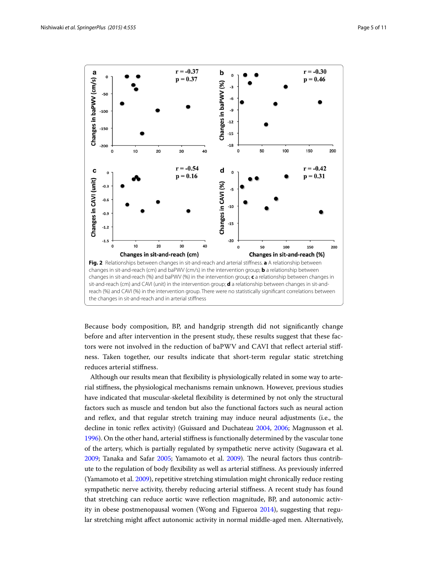

<span id="page-4-0"></span>Because body composition, BP, and handgrip strength did not significantly change before and after intervention in the present study, these results suggest that these factors were not involved in the reduction of baPWV and CAVI that reflect arterial stiffness. Taken together, our results indicate that short-term regular static stretching reduces arterial stiffness.

Although our results mean that flexibility is physiologically related in some way to arterial stiffness, the physiological mechanisms remain unknown. However, previous studies have indicated that muscular-skeletal flexibility is determined by not only the structural factors such as muscle and tendon but also the functional factors such as neural action and reflex, and that regular stretch training may induce neural adjustments (i.e., the decline in tonic reflex activity) (Guissard and Duchateau [2004,](#page-9-10) [2006](#page-9-11); Magnusson et al. [1996](#page-9-12)). On the other hand, arterial stiffness is functionally determined by the vascular tone of the artery, which is partially regulated by sympathetic nerve activity (Sugawara et al. [2009](#page-10-8); Tanaka and Safar [2005](#page-10-9); Yamamoto et al. [2009](#page-10-0)). The neural factors thus contribute to the regulation of body flexibility as well as arterial stiffness. As previously inferred (Yamamoto et al. [2009\)](#page-10-0), repetitive stretching stimulation might chronically reduce resting sympathetic nerve activity, thereby reducing arterial stiffness. A recent study has found that stretching can reduce aortic wave reflection magnitude, BP, and autonomic activity in obese postmenopausal women (Wong and Figueroa [2014](#page-10-1)), suggesting that regular stretching might affect autonomic activity in normal middle-aged men. Alternatively,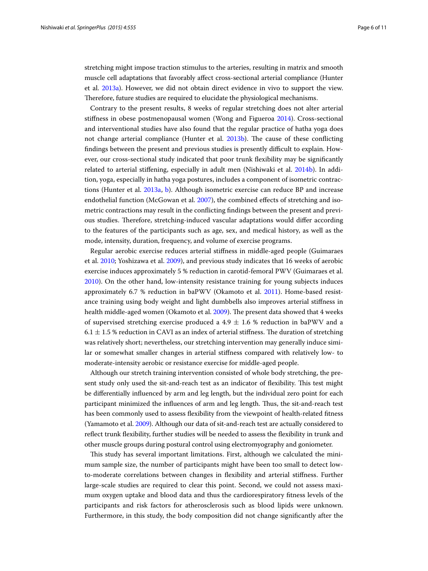stretching might impose traction stimulus to the arteries, resulting in matrix and smooth muscle cell adaptations that favorably affect cross-sectional arterial compliance (Hunter et al. [2013a\)](#page-9-7). However, we did not obtain direct evidence in vivo to support the view. Therefore, future studies are required to elucidate the physiological mechanisms.

Contrary to the present results, 8 weeks of regular stretching does not alter arterial stiffness in obese postmenopausal women (Wong and Figueroa [2014](#page-10-1)). Cross-sectional and interventional studies have also found that the regular practice of hatha yoga does not change arterial compliance (Hunter et al. [2013b](#page-9-8)). The cause of these conflicting findings between the present and previous studies is presently difficult to explain. However, our cross-sectional study indicated that poor trunk flexibility may be significantly related to arterial stiffening, especially in adult men (Nishiwaki et al. [2014b](#page-9-3)). In addition, yoga, especially in hatha yoga postures, includes a component of isometric contractions (Hunter et al. [2013a](#page-9-7), [b\)](#page-9-8). Although isometric exercise can reduce BP and increase endothelial function (McGowan et al. [2007](#page-9-13)), the combined effects of stretching and isometric contractions may result in the conflicting findings between the present and previous studies. Therefore, stretching-induced vascular adaptations would differ according to the features of the participants such as age, sex, and medical history, as well as the mode, intensity, duration, frequency, and volume of exercise programs.

Regular aerobic exercise reduces arterial stiffness in middle-aged people (Guimaraes et al. [2010](#page-9-14); Yoshizawa et al. [2009](#page-10-10)), and previous study indicates that 16 weeks of aerobic exercise induces approximately 5 % reduction in carotid-femoral PWV (Guimaraes et al. [2010](#page-9-14)). On the other hand, low-intensity resistance training for young subjects induces approximately 6.7 % reduction in baPWV (Okamoto et al. [2011](#page-10-11)). Home-based resistance training using body weight and light dumbbells also improves arterial stiffness in health middle-aged women (Okamoto et al. [2009](#page-9-15)). The present data showed that 4 weeks of supervised stretching exercise produced a 4.9  $\pm$  1.6 % reduction in baPWV and a 6.1  $\pm$  1.5 % reduction in CAVI as an index of arterial stiffness. The duration of stretching was relatively short; nevertheless, our stretching intervention may generally induce similar or somewhat smaller changes in arterial stiffness compared with relatively low- to moderate-intensity aerobic or resistance exercise for middle-aged people.

Although our stretch training intervention consisted of whole body stretching, the present study only used the sit-and-reach test as an indicator of flexibility. This test might be differentially influenced by arm and leg length, but the individual zero point for each participant minimized the influences of arm and leg length. Thus, the sit-and-reach test has been commonly used to assess flexibility from the viewpoint of health-related fitness (Yamamoto et al. [2009\)](#page-10-0). Although our data of sit-and-reach test are actually considered to reflect trunk flexibility, further studies will be needed to assess the flexibility in trunk and other muscle groups during postural control using electromyography and goniometer.

This study has several important limitations. First, although we calculated the minimum sample size, the number of participants might have been too small to detect lowto-moderate correlations between changes in flexibility and arterial stiffness. Further large-scale studies are required to clear this point. Second, we could not assess maximum oxygen uptake and blood data and thus the cardiorespiratory fitness levels of the participants and risk factors for atherosclerosis such as blood lipids were unknown. Furthermore, in this study, the body composition did not change significantly after the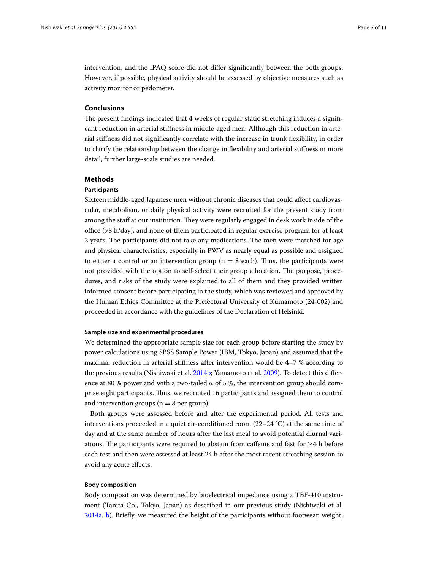intervention, and the IPAQ score did not differ significantly between the both groups. However, if possible, physical activity should be assessed by objective measures such as activity monitor or pedometer.

### **Conclusions**

The present findings indicated that 4 weeks of regular static stretching induces a significant reduction in arterial stiffness in middle-aged men. Although this reduction in arterial stiffness did not significantly correlate with the increase in trunk flexibility, in order to clarify the relationship between the change in flexibility and arterial stiffness in more detail, further large-scale studies are needed.

#### **Methods**

## **Participants**

Sixteen middle-aged Japanese men without chronic diseases that could affect cardiovascular, metabolism, or daily physical activity were recruited for the present study from among the staff at our institution. They were regularly engaged in desk work inside of the office (>8 h/day), and none of them participated in regular exercise program for at least 2 years. The participants did not take any medications. The men were matched for age and physical characteristics, especially in PWV as nearly equal as possible and assigned to either a control or an intervention group ( $n = 8$  each). Thus, the participants were not provided with the option to self-select their group allocation. The purpose, procedures, and risks of the study were explained to all of them and they provided written informed consent before participating in the study, which was reviewed and approved by the Human Ethics Committee at the Prefectural University of Kumamoto (24-002) and proceeded in accordance with the guidelines of the Declaration of Helsinki.

### **Sample size and experimental procedures**

We determined the appropriate sample size for each group before starting the study by power calculations using SPSS Sample Power (IBM, Tokyo, Japan) and assumed that the maximal reduction in arterial stiffness after intervention would be 4–7 % according to the previous results (Nishiwaki et al. [2014b;](#page-9-3) Yamamoto et al. [2009](#page-10-0)). To detect this difference at 80 % power and with a two-tailed  $\alpha$  of 5 %, the intervention group should comprise eight participants. Thus, we recruited 16 participants and assigned them to control and intervention groups ( $n = 8$  per group).

Both groups were assessed before and after the experimental period. All tests and interventions proceeded in a quiet air-conditioned room  $(22-24 \degree C)$  at the same time of day and at the same number of hours after the last meal to avoid potential diurnal variations. The participants were required to abstain from caffeine and fast for  $\geq 4$  h before each test and then were assessed at least 24 h after the most recent stretching session to avoid any acute effects.

#### **Body composition**

Body composition was determined by bioelectrical impedance using a TBF-410 instrument (Tanita Co., Tokyo, Japan) as described in our previous study (Nishiwaki et al. [2014a](#page-9-16), [b](#page-9-3)). Briefly, we measured the height of the participants without footwear, weight,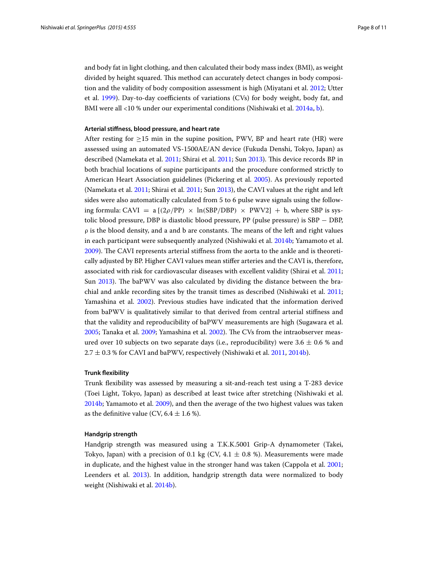and body fat in light clothing, and then calculated their body mass index (BMI), as weight divided by height squared. This method can accurately detect changes in body composition and the validity of body composition assessment is high (Miyatani et al. [2012](#page-9-17); Utter et al. [1999](#page-10-12)). Day-to-day coefficients of variations (CVs) for body weight, body fat, and BMI were all <10 % under our experimental conditions (Nishiwaki et al. [2014a,](#page-9-16) [b](#page-9-3)).

## **Arterial stiffness, blood pressure, and heart rate**

After resting for  $>15$  min in the supine position, PWV, BP and heart rate (HR) were assessed using an automated VS-1500AE/AN device (Fukuda Denshi, Tokyo, Japan) as described (Namekata et al. [2011](#page-9-9); Shirai et al. [2011;](#page-10-6) Sun [2013\)](#page-10-7). This device records BP in both brachial locations of supine participants and the procedure conformed strictly to American Heart Association guidelines (Pickering et al. [2005](#page-10-13)). As previously reported (Namekata et al. [2011;](#page-9-9) Shirai et al. [2011](#page-10-6); Sun [2013\)](#page-10-7), the CAVI values at the right and left sides were also automatically calculated from 5 to 6 pulse wave signals using the following formula: CAVI = a  $[(2\rho/PP) \times ln(SBP/DBP) \times PWV2] + b$ , where SBP is systolic blood pressure, DBP is diastolic blood pressure, PP (pulse pressure) is SBP − DBP,  $\rho$  is the blood density, and a and b are constants. The means of the left and right values in each participant were subsequently analyzed (Nishiwaki et al. [2014b;](#page-9-3) Yamamoto et al. [2009](#page-10-0)). The CAVI represents arterial stiffness from the aorta to the ankle and is theoretically adjusted by BP. Higher CAVI values mean stiffer arteries and the CAVI is, therefore, associated with risk for cardiovascular diseases with excellent validity (Shirai et al. [2011](#page-10-6); Sun [2013](#page-10-7)). The baPWV was also calculated by dividing the distance between the brachial and ankle recording sites by the transit times as described (Nishiwaki et al. [2011](#page-9-18); Yamashina et al. [2002\)](#page-10-5). Previous studies have indicated that the information derived from baPWV is qualitatively similar to that derived from central arterial stiffness and that the validity and reproducibility of baPWV measurements are high (Sugawara et al. [2005](#page-10-2); Tanaka et al. [2009;](#page-10-3) Yamashina et al. [2002\)](#page-10-5). The CVs from the intraobserver measured over 10 subjects on two separate days (i.e., reproducibility) were  $3.6 \pm 0.6$  % and  $2.7 \pm 0.3$  % for CAVI and baPWV, respectively (Nishiwaki et al. [2011](#page-9-18), [2014b](#page-9-3)).

### **Trunk flexibility**

Trunk flexibility was assessed by measuring a sit-and-reach test using a T-283 device (Toei Light, Tokyo, Japan) as described at least twice after stretching (Nishiwaki et al. [2014b](#page-9-3); Yamamoto et al. [2009](#page-10-0)), and then the average of the two highest values was taken as the definitive value (CV,  $6.4 \pm 1.6$  %).

#### **Handgrip strength**

Handgrip strength was measured using a T.K.K.5001 Grip-A dynamometer (Takei, Tokyo, Japan) with a precision of 0.1 kg (CV, 4.1  $\pm$  0.8 %). Measurements were made in duplicate, and the highest value in the stronger hand was taken (Cappola et al. [2001](#page-9-19); Leenders et al. [2013\)](#page-9-20). In addition, handgrip strength data were normalized to body weight (Nishiwaki et al. [2014b](#page-9-3)).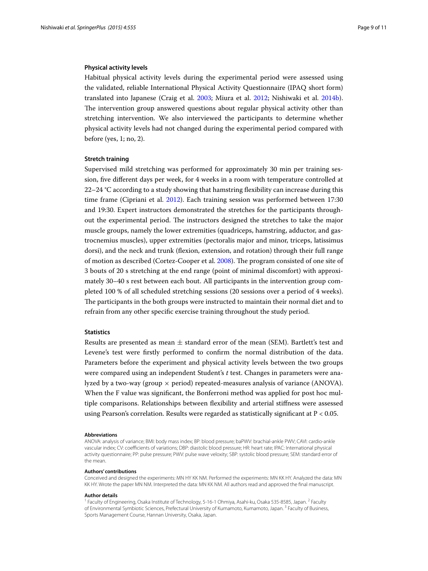#### **Physical activity levels**

Habitual physical activity levels during the experimental period were assessed using the validated, reliable International Physical Activity Questionnaire (IPAQ short form) translated into Japanese (Craig et al. [2003;](#page-9-21) Miura et al. [2012;](#page-9-22) Nishiwaki et al. [2014b](#page-9-3)). The intervention group answered questions about regular physical activity other than stretching intervention. We also interviewed the participants to determine whether physical activity levels had not changed during the experimental period compared with before (yes, 1; no, 2).

#### **Stretch training**

Supervised mild stretching was performed for approximately 30 min per training session, five different days per week, for 4 weeks in a room with temperature controlled at 22–24 °C according to a study showing that hamstring flexibility can increase during this time frame (Cipriani et al. [2012](#page-9-23)). Each training session was performed between 17:30 and 19:30. Expert instructors demonstrated the stretches for the participants throughout the experimental period. The instructors designed the stretches to take the major muscle groups, namely the lower extremities (quadriceps, hamstring, adductor, and gastrocnemius muscles), upper extremities (pectoralis major and minor, triceps, latissimus dorsi), and the neck and trunk (flexion, extension, and rotation) through their full range of motion as described (Cortez-Cooper et al. [2008\)](#page-9-6). The program consisted of one site of 3 bouts of 20 s stretching at the end range (point of minimal discomfort) with approximately 30–40 s rest between each bout. All participants in the intervention group completed 100 % of all scheduled stretching sessions (20 sessions over a period of 4 weeks). The participants in the both groups were instructed to maintain their normal diet and to refrain from any other specific exercise training throughout the study period.

### **Statistics**

Results are presented as mean  $\pm$  standard error of the mean (SEM). Bartlett's test and Levene's test were firstly performed to confirm the normal distribution of the data. Parameters before the experiment and physical activity levels between the two groups were compared using an independent Student's *t* test. Changes in parameters were analyzed by a two-way (group  $\times$  period) repeated-measures analysis of variance (ANOVA). When the F value was significant, the Bonferroni method was applied for post hoc multiple comparisons. Relationships between flexibility and arterial stiffness were assessed using Pearson's correlation. Results were regarded as statistically significant at P < 0.05.

#### **Abbreviations**

ANOVA: analysis of variance; BMI: body mass index; BP: blood pressure; baPWV: brachial-ankle PWV; CAVI: cardio-ankle vascular index; CV: coefficients of variations; DBP: diastolic blood pressure; HR: heart rate; IPAC: International physical activity questionnaire; PP: pulse pressure; PWV: pulse wave veloxity; SBP: systolic blood pressure; SEM: standard error of the mean.

#### **Authors' contributions**

Conceived and designed the experiments: MN HY KK NM. Performed the experiments: MN KK HY. Analyzed the data: MN KK HY. Wrote the paper MN NM. Interpreted the data: MN KK NM. All authors read and approved the final manuscript.

#### **Author details**

<sup>1</sup> Faculty of Engineering, Osaka Institute of Technology, 5-16-1 Ohmiya, Asahi-ku, Osaka 535-8585, Japan. <sup>2</sup> Faculty of Environmental Symbiotic Sciences, Prefectural University of Kumamoto, Kumamoto, Japan.<sup>3</sup> Faculty of Business, Sports Management Course, Hannan University, Osaka, Japan.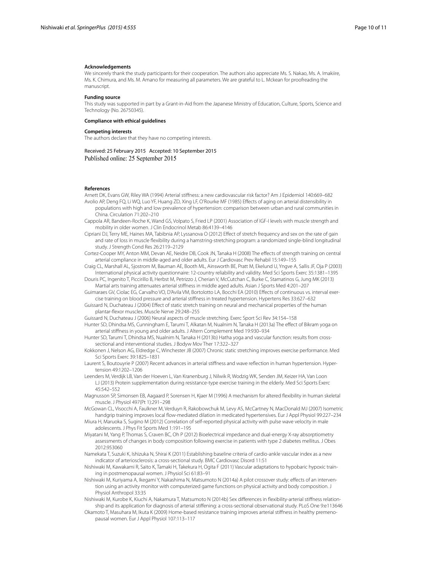#### **Acknowledgements**

We sincerely thank the study participants for their cooperation. The authors also appreciate Ms. S. Nakao, Ms. A. Imakiire, Ms. K. Chimura, and Ms. M. Amano for measuring all parameters. We are grateful to L. Mckean for proofreading the manuscript.

#### **Funding source**

This study was supported in part by a Grant-in-Aid from the Japanese Ministry of Education, Culture, Sports, Science and Technology (No. 26750345).

#### **Compliance with ethical guidelines**

#### **Competing interests**

The authors declare that they have no competing interests.

#### Received: 25 February 2015 Accepted: 10 September 2015 Published online: 25 September 2015

#### **References**

<span id="page-9-1"></span><span id="page-9-0"></span>Arnett DK, Evans GW, Riley WA (1994) Arterial stiffness: a new cardiovascular risk factor? Am J Epidemiol 140:669–682 Avolio AP, Deng FQ, Li WQ, Luo YF, Huang ZD, Xing LF, O'Rourke MF (1985) Effects of aging on arterial distensibility in

- populations with high and low prevalence of hypertension: comparison between urban and rural communities in China. Circulation 71:202–210
- <span id="page-9-19"></span>Cappola AR, Bandeen-Roche K, Wand GS, Volpato S, Fried LP (2001) Association of IGF-I levels with muscle strength and mobility in older women. J Clin Endocrinol Metab 86:4139–4146
- <span id="page-9-23"></span>Cipriani DJ, Terry ME, Haines MA, Tabibnia AP, Lyssanova O (2012) Effect of stretch frequency and sex on the rate of gain and rate of loss in muscle flexibility during a hamstring-stretching program: a randomized single-blind longitudinal study. J Strength Cond Res 26:2119–2129

<span id="page-9-6"></span>Cortez-Cooper MY, Anton MM, Devan AE, Neidre DB, Cook JN, Tanaka H (2008) The effects of strength training on central arterial compliance in middle-aged and older adults. Eur J Cardiovasc Prev Rehabil 15:149–155

<span id="page-9-21"></span>Craig CL, Marshall AL, Sjostrom M, Bauman AE, Booth ML, Ainsworth BE, Pratt M, Ekelund U, Yngve A, Sallis JF, Oja P (2003) International physical activity questionnaire: 12-country reliability and validity. Med Sci Sports Exerc 35:1381–1395

- <span id="page-9-4"></span>Douris PC, Ingenito T, Piccirillo B, Herbst M, Petrizzo J, Cherian V, McCutchan C, Burke C, Stamatinos G, Jung MK (2013) Martial arts training attenuates arterial stiffness in middle aged adults. Asian J Sports Med 4:201–207
- <span id="page-9-14"></span>Guimaraes GV, Ciolac EG, Carvalho VO, D'Avila VM, Bortolotto LA, Bocchi EA (2010) Effects of continuous vs. interval exercise training on blood pressure and arterial stiffness in treated hypertension. Hypertens Res 33:627–632
- <span id="page-9-10"></span>Guissard N, Duchateau J (2004) Effect of static stretch training on neural and mechanical properties of the human plantar-flexor muscles. Muscle Nerve 29:248–255

<span id="page-9-11"></span>Guissard N, Duchateau J (2006) Neural aspects of muscle stretching. Exerc Sport Sci Rev 34:154–158

<span id="page-9-7"></span>Hunter SD, Dhindsa MS, Cunningham E, Tarumi T, Alkatan M, Nualnim N, Tanaka H (2013a) The effect of Bikram yoga on arterial stiffness in young and older adults. J Altern Complement Med 19:930–934

- <span id="page-9-8"></span>Hunter SD, Tarumi T, Dhindsa MS, Nualnim N, Tanaka H (2013b) Hatha yoga and vascular function: results from crosssectional and interventional studies. J Bodyw Mov Ther 17:322–327
- <span id="page-9-5"></span>Kokkonen J, Nelson AG, Eldredge C, Winchester JB (2007) Chronic static stretching improves exercise performance. Med Sci Sports Exerc 39:1825–1831

<span id="page-9-2"></span>Laurent S, Boutouyrie P (2007) Recent advances in arterial stiffness and wave reflection in human hypertension. Hypertension 49:1202–1206

- <span id="page-9-20"></span>Leenders M, Verdijk LB, Van der Hoeven L, Van Kranenburg J, Nilwik R, Wodzig WK, Senden JM, Keizer HA, Van Loon LJ (2013) Protein supplementation during resistance-type exercise training in the elderly. Med Sci Sports Exerc 45:542–552
- <span id="page-9-12"></span>Magnusson SP, Simonsen EB, Aagaard P, Sorensen H, Kjaer M (1996) A mechanism for altered flexibility in human skeletal muscle. J Physiol 497(Pt 1):291–298
- <span id="page-9-13"></span>McGowan CL, Visocchi A, Faulkner M, Verduyn R, Rakobowchuk M, Levy AS, McCartney N, MacDonald MJ (2007) Isometric handgrip training improves local flow-mediated dilation in medicated hypertensives. Eur J Appl Physiol 99:227–234

<span id="page-9-22"></span>Miura H, Maruoka S, Sugino M (2012) Correlation of self-reported physical activity with pulse wave velocity in male adolescents. J Phys Fit Sports Med 1:191–195

- <span id="page-9-17"></span>Miyatani M, Yang P, Thomas S, Craven BC, Oh P (2012) Bioelectrical impedance and dual-energy X-ray absorptiometry assessments of changes in body composition following exercise in patients with type 2 diabetes mellitus. J Obes 2012:953060
- <span id="page-9-9"></span>Namekata T, Suzuki K, Ishizuka N, Shirai K (2011) Establishing baseline criteria of cardio-ankle vascular index as a new indicator of arteriosclerosis: a cross-sectional study. BMC Cardiovasc Disord 11:51

<span id="page-9-18"></span>Nishiwaki M, Kawakami R, Saito K, Tamaki H, Takekura H, Ogita F (2011) Vascular adaptations to hypobaric hypoxic training in postmenopausal women. J Physiol Sci 61:83–91

- <span id="page-9-16"></span>Nishiwaki M, Kuriyama A, Ikegami Y, Nakashima N, Matsumoto N (2014a) A pilot crossover study: effects of an intervention using an activity monitor with computerized game functions on physical activity and body composition. J Physiol Anthropol 33:35
- <span id="page-9-3"></span>Nishiwaki M, Kurobe K, Kiuchi A, Nakamura T, Matsumoto N (2014b) Sex differences in flexibility-arterial stiffness relationship and its application for diagnosis of arterial stiffening: a cross-sectional observational study. PLoS One 9:e113646
- <span id="page-9-15"></span>Okamoto T, Masuhara M, Ikuta K (2009) Home-based resistance training improves arterial stiffness in healthy premenopausal women. Eur J Appl Physiol 107:113–117